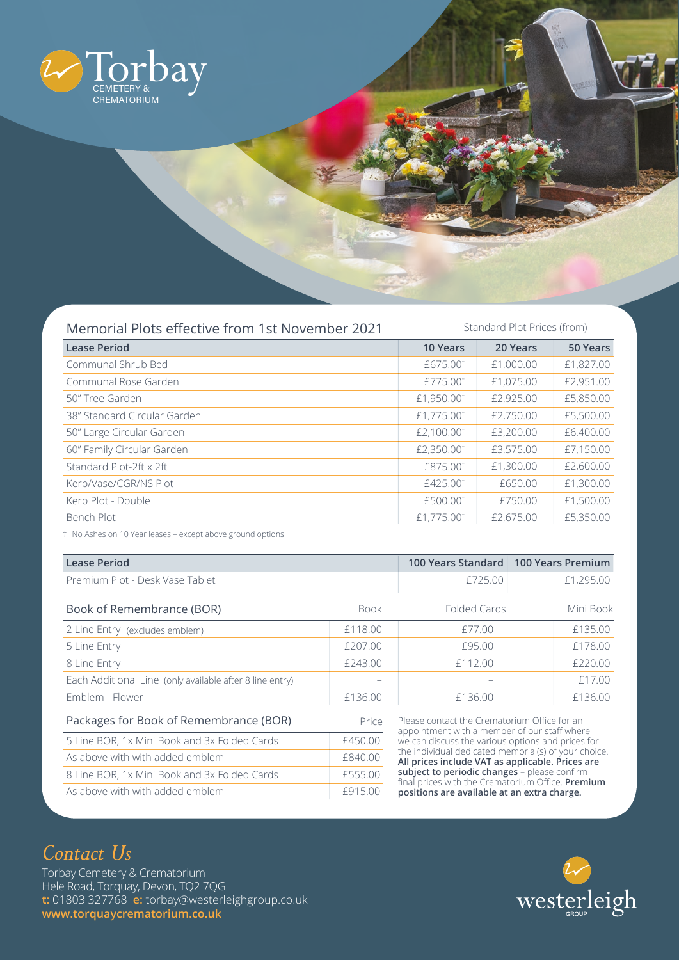

| Memorial Plots effective from 1st November 2021 | Standard Plot Prices (from) |           |           |
|-------------------------------------------------|-----------------------------|-----------|-----------|
| <b>Lease Period</b>                             | 10 Years                    | 20 Years  | 50 Years  |
| Communal Shrub Bed                              | £675.00 <sup>t</sup>        | £1,000.00 | £1,827.00 |
| Communal Rose Garden                            | $£775.00$ <sup>†</sup>      | £1,075.00 | £2,951.00 |
| 50" Tree Garden                                 | £1,950.00 <sup>†</sup>      | £2,925.00 | £5,850.00 |
| 38" Standard Circular Garden                    | £1,775.00 <sup>t</sup>      | £2,750.00 | £5,500.00 |
| 50" Large Circular Garden                       | £2,100.00 <sup>+</sup>      | £3,200.00 | £6,400.00 |
| 60" Family Circular Garden                      | £2,350.00 <sup>t</sup>      | £3,575.00 | £7,150.00 |
| Standard Plot-2ft $\times$ 2ft                  | £875.00 <sup>t</sup>        | £1,300.00 | £2,600.00 |
| Kerb/Vase/CGR/NS Plot                           | $£425.00$ <sup>t</sup>      | £650.00   | £1,300.00 |
| Kerb Plot - Double                              | $£500.00$ <sup>t</sup>      | £750.00   | £1,500.00 |
| Bench Plot                                      | £1,775.00 <sup>t</sup>      | £2,675.00 | £5,350.00 |

† No Ashes on 10 Year leases – except above ground options

| <b>Lease Period</b>                                      |             | 100 Years Standard                                                                                                                                                                                                                                                                                                | <b>100 Years Premium</b> |  |
|----------------------------------------------------------|-------------|-------------------------------------------------------------------------------------------------------------------------------------------------------------------------------------------------------------------------------------------------------------------------------------------------------------------|--------------------------|--|
| Premium Plot - Desk Vase Tablet                          |             | £725.00                                                                                                                                                                                                                                                                                                           | £1,295.00                |  |
|                                                          |             |                                                                                                                                                                                                                                                                                                                   |                          |  |
| Book of Remembrance (BOR)                                | <b>Book</b> | Folded Cards                                                                                                                                                                                                                                                                                                      | Mini Book                |  |
| 2 Line Entry (excludes emblem)                           | £118.00     | £77.00                                                                                                                                                                                                                                                                                                            | £135.00                  |  |
| 5 Line Entry                                             | £207.00     | £95.00                                                                                                                                                                                                                                                                                                            | £178.00                  |  |
| 8 Line Entry                                             | £243.00     | £112.00                                                                                                                                                                                                                                                                                                           | £220.00                  |  |
| Each Additional Line (only available after 8 line entry) |             |                                                                                                                                                                                                                                                                                                                   | £17.00                   |  |
| Emblem - Flower                                          | £136.00     | £136.00                                                                                                                                                                                                                                                                                                           | £136.00                  |  |
| Packages for Book of Remembrance (BOR)                   | Price       | Please contact the Crematorium Office for an<br>appointment with a member of our staff where                                                                                                                                                                                                                      |                          |  |
| 5 Line BOR, 1x Mini Book and 3x Folded Cards             | £450.00     | we can discuss the various options and prices for<br>the individual dedicated memorial(s) of your choice.<br>All prices include VAT as applicable. Prices are<br>subject to periodic changes - please confirm<br>final prices with the Crematorium Office. Premium<br>positions are available at an extra charge. |                          |  |
| As above with with added emblem                          | £840.00     |                                                                                                                                                                                                                                                                                                                   |                          |  |
| 8 Line BOR, 1x Mini Book and 3x Folded Cards             | £555.00     |                                                                                                                                                                                                                                                                                                                   |                          |  |
| As above with with added emblem                          | £915.00     |                                                                                                                                                                                                                                                                                                                   |                          |  |

## *Contact Us*

Torbay Cemetery & Crematorium Hele Road, Torquay, Devon, TQ2 7QG **t:** 01803 327768 **e:** torbay@westerleighgroup.co.uk **www.torquaycrematorium.co.uk**